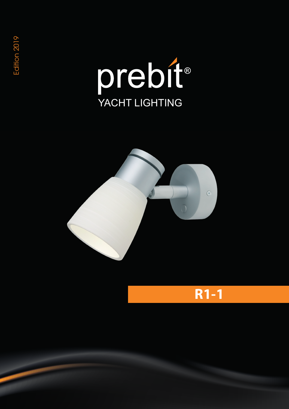